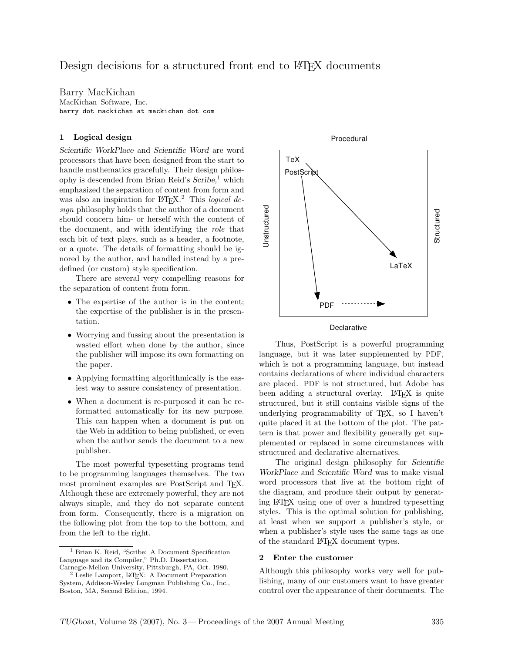Barry MacKichan MacKichan Software, Inc. barry dot mackichan at mackichan dot com

## 1 Logical design

Scientific WorkPlace and Scientific Word are word processors that have been designed from the start to handle mathematics gracefully. Their design philosophy is descended from Brian Reid's  $Scribe,$ <sup>1</sup> which emphasized the separation of content from form and was also an inspiration for  $LATEX$ <sup>2</sup>. This *logical de*sign philosophy holds that the author of a document should concern him- or herself with the content of the document, and with identifying the role that each bit of text plays, such as a header, a footnote, or a quote. The details of formatting should be ignored by the author, and handled instead by a predefined (or custom) style specification.

There are several very compelling reasons for the separation of content from form.

- The expertise of the author is in the content; the expertise of the publisher is in the presentation.
- Worrying and fussing about the presentation is wasted effort when done by the author, since the publisher will impose its own formatting on the paper.
- Applying formatting algorithmically is the easiest way to assure consistency of presentation.
- When a document is re-purposed it can be reformatted automatically for its new purpose. This can happen when a document is put on the Web in addition to being published, or even when the author sends the document to a new publisher.

The most powerful typesetting programs tend to be programming languages themselves. The two most prominent examples are PostScript and T<sub>F</sub>X. Although these are extremely powerful, they are not always simple, and they do not separate content from form. Consequently, there is a migration on the following plot from the top to the bottom, and from the left to the right.



**Declarative** 

Thus, PostScript is a powerful programming language, but it was later supplemented by PDF, which is not a programming language, but instead contains declarations of where individual characters are placed. PDF is not structured, but Adobe has been adding a structural overlay. LAT<sub>EX</sub> is quite structured, but it still contains visible signs of the underlying programmability of TEX, so I haven't quite placed it at the bottom of the plot. The pattern is that power and flexibility generally get supplemented or replaced in some circumstances with structured and declarative alternatives.

The original design philosophy for Scientific WorkPlace and Scientific Word was to make visual word processors that live at the bottom right of the diagram, and produce their output by generating L<sup>A</sup>TEX using one of over a hundred typesetting styles. This is the optimal solution for publishing, at least when we support a publisher's style, or when a publisher's style uses the same tags as one of the standard L<sup>A</sup>TEX document types.

#### 2 Enter the customer

Although this philosophy works very well for publishing, many of our customers want to have greater control over the appearance of their documents. The

<sup>1</sup> Brian K. Reid, "Scribe: A Document Specification Language and its Compiler," Ph.D. Dissertation,

Carnegie-Mellon University, Pittsburgh, PA, Oct. 1980. <sup>2</sup> Leslie Lamport, L<sup>A</sup>TEX: A Document Preparation System, Addison-Wesley Longman Publishing Co., Inc., Boston, MA, Second Edition, 1994.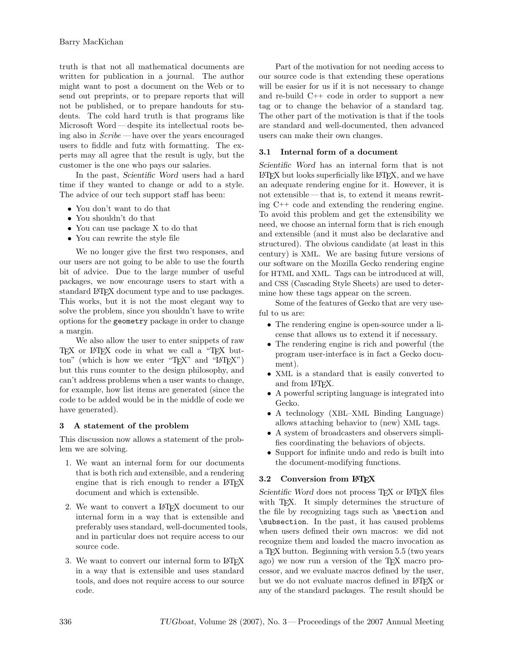truth is that not all mathematical documents are written for publication in a journal. The author might want to post a document on the Web or to send out preprints, or to prepare reports that will not be published, or to prepare handouts for students. The cold hard truth is that programs like Microsoft Word — despite its intellectual roots being also in Scribe — have over the years encouraged users to fiddle and futz with formatting. The experts may all agree that the result is ugly, but the customer is the one who pays our salaries.

In the past, Scientific Word users had a hard time if they wanted to change or add to a style. The advice of our tech support staff has been:

- You don't want to do that
- You shouldn't do that
- You can use package X to do that
- You can rewrite the style file

We no longer give the first two responses, and our users are not going to be able to use the fourth bit of advice. Due to the large number of useful packages, we now encourage users to start with a standard L<sup>A</sup>TEX document type and to use packages. This works, but it is not the most elegant way to solve the problem, since you shouldn't have to write options for the geometry package in order to change a margin.

We also allow the user to enter snippets of raw TEX or LATEX code in what we call a "TEX button" (which is how we enter "TEX" and "LATEX") but this runs counter to the design philosophy, and can't address problems when a user wants to change, for example, how list items are generated (since the code to be added would be in the middle of code we have generated).

# 3 A statement of the problem

This discussion now allows a statement of the problem we are solving.

- 1. We want an internal form for our documents that is both rich and extensible, and a rendering engine that is rich enough to render a LAT<sub>EX</sub> document and which is extensible.
- 2. We want to convert a L<sup>AT</sup>FX document to our internal form in a way that is extensible and preferably uses standard, well-documented tools, and in particular does not require access to our source code.
- 3. We want to convert our internal form to LAT<sub>F</sub>X in a way that is extensible and uses standard tools, and does not require access to our source code.

Part of the motivation for not needing access to our source code is that extending these operations will be easier for us if it is not necessary to change and re-build C++ code in order to support a new tag or to change the behavior of a standard tag. The other part of the motivation is that if the tools are standard and well-documented, then advanced users can make their own changes.

#### 3.1 Internal form of a document

Scientific Word has an internal form that is not L<sup>A</sup>TEX but looks superficially like L<sup>A</sup>TEX, and we have an adequate rendering engine for it. However, it is not extensible — that is, to extend it means rewriting C++ code and extending the rendering engine. To avoid this problem and get the extensibility we need, we choose an internal form that is rich enough and extensible (and it must also be declarative and structured). The obvious candidate (at least in this century) is XML. We are basing future versions of our software on the Mozilla Gecko rendering engine for HTML and XML. Tags can be introduced at will, and CSS (Cascading Style Sheets) are used to determine how these tags appear on the screen.

Some of the features of Gecko that are very useful to us are:

- The rendering engine is open-source under a license that allows us to extend it if necessary.
- The rendering engine is rich and powerful (the program user-interface is in fact a Gecko document).
- XML is a standard that is easily converted to and from L<sup>AT</sup>FX.
- A powerful scripting language is integrated into Gecko.
- A technology (XBL–XML Binding Language) allows attaching behavior to (new) XML tags.
- A system of broadcasters and observers simplifies coordinating the behaviors of objects.
- Support for infinite undo and redo is built into the document-modifying functions.

# 3.2 Conversion from LATFX

Scientific Word does not process TFX or LATFX files with T<sub>E</sub>X. It simply determines the structure of the file by recognizing tags such as \section and \subsection. In the past, it has caused problems when users defined their own macros: we did not recognize them and loaded the macro invocation as a T<sub>E</sub>X button. Beginning with version 5.5 (two years ago) we now run a version of the T<sub>E</sub>X macro processor, and we evaluate macros defined by the user, but we do not evaluate macros defined in L<sup>A</sup>TEX or any of the standard packages. The result should be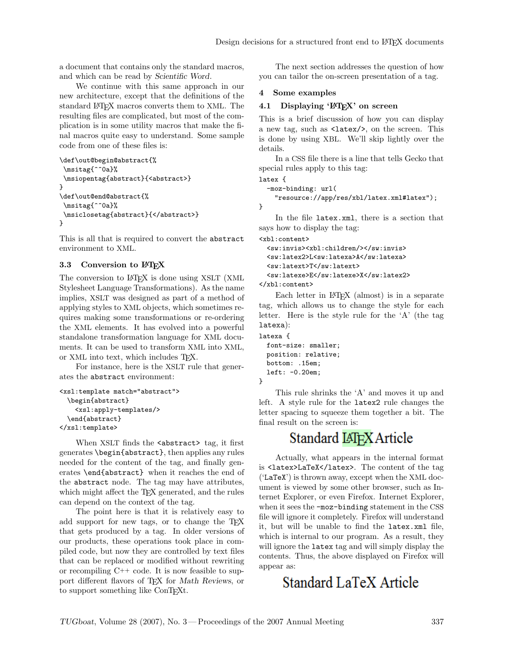a document that contains only the standard macros, and which can be read by Scientific Word.

We continue with this same approach in our new architecture, except that the definitions of the standard L<sup>A</sup>TEX macros converts them to XML. The resulting files are complicated, but most of the complication is in some utility macros that make the final macros quite easy to understand. Some sample code from one of these files is:

```
\def\out@begin@abstract{%
 \msitag{^^0a}%
 \msiopentag{abstract}{<abstract>}
}
\def\out@end@abstract{%
\msitag{^^0a}%
\msiclosetag{abstract}{</abstract>}
}
```
This is all that is required to convert the abstract environment to XML.

# 3.3 Conversion to LAT<sub>F</sub>X

The conversion to LAT<sub>EX</sub> is done using XSLT (XML) Stylesheet Language Transformations). As the name implies, XSLT was designed as part of a method of applying styles to XML objects, which sometimes requires making some transformations or re-ordering the XML elements. It has evolved into a powerful standalone transformation language for XML documents. It can be used to transform XML into XML, or XML into text, which includes TEX.

For instance, here is the XSLT rule that generates the abstract environment:

```
<xsl:template match="abstract">
  \begin{abstract}
    <xsl:apply-templates/>
  \end{abstract}
</xsl:template>
```
When XSLT finds the <abstract> tag, it first generates \begin{abstract}, then applies any rules needed for the content of the tag, and finally generates \end{abstract} when it reaches the end of the abstract node. The tag may have attributes, which might affect the T<sub>E</sub>X generated, and the rules can depend on the context of the tag.

The point here is that it is relatively easy to add support for new tags, or to change the TEX that gets produced by a tag. In older versions of our products, these operations took place in compiled code, but now they are controlled by text files that can be replaced or modified without rewriting or recompiling C++ code. It is now feasible to support different flavors of TEX for Math Reviews, or to support something like ConT<sub>EXt</sub>.

The next section addresses the question of how you can tailor the on-screen presentation of a tag.

#### 4 Some examples

#### 4.1 Displaying 'LAT<sub>EX</sub>' on screen

This is a brief discussion of how you can display a new tag, such as <latex/>, on the screen. This is done by using XBL. We'll skip lightly over the details.

In a CSS file there is a line that tells Gecko that special rules apply to this tag:

latex {

}

}

```
-moz-binding: url(
 "resource://app/res/xbl/latex.xml#latex");
```
In the file latex.xml, there is a section that says how to display the tag:

<xbl:content> <sw:invis><xbl:children/></sw:invis> <sw:latex2>L<sw:latexa>A</sw:latexa> <sw:latext>T</sw:latext> <sw:latexe>E</sw:latexe>X</sw:latex2> </xbl:content>

Each letter in LAT<sub>E</sub>X (almost) is in a separate tag, which allows us to change the style for each letter. Here is the style rule for the 'A' (the tag latexa):

```
latexa {
  font-size: smaller;
  position: relative;
  bottom: .15em;
  left: -0.20em;
```
This rule shrinks the 'A' and moves it up and left. A style rule for the latex2 rule changes the letter spacing to squeeze them together a bit. The final result on the screen is:

# Standard LATEX Article

Actually, what appears in the internal format is <latex>LaTeX</latex>. The content of the tag ('LaTeX') is thrown away, except when the XML document is viewed by some other browser, such as Internet Explorer, or even Firefox. Internet Explorer, when it sees the -moz-binding statement in the CSS file will ignore it completely. Firefox will understand it, but will be unable to find the latex.xml file, which is internal to our program. As a result, they will ignore the latex tag and will simply display the contents. Thus, the above displayed on Firefox will appear as:

# Standard LaTeX Article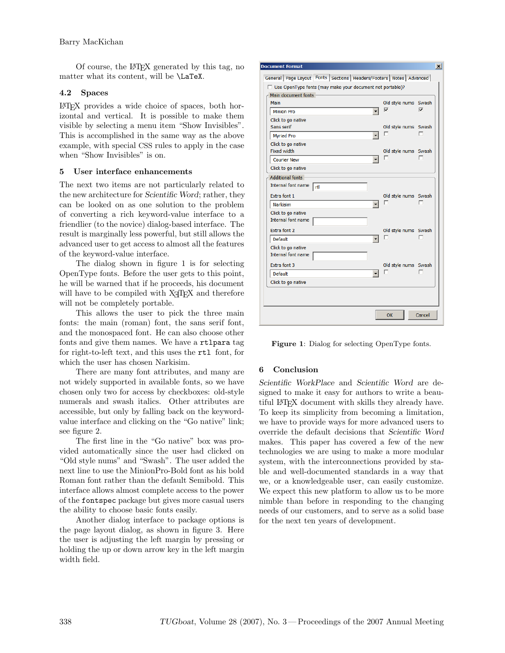Of course, the L<sup>A</sup>TEX generated by this tag, no matter what its content, will be \LaTeX.

## 4.2 Spaces

LATEX provides a wide choice of spaces, both horizontal and vertical. It is possible to make them visible by selecting a menu item "Show Invisibles". This is accomplished in the same way as the above example, with special CSS rules to apply in the case when "Show Invisibles" is on.

## 5 User interface enhancements

The next two items are not particularly related to the new architecture for Scientific Word; rather, they can be looked on as one solution to the problem of converting a rich keyword-value interface to a friendlier (to the novice) dialog-based interface. The result is marginally less powerful, but still allows the advanced user to get access to almost all the features of the keyword-value interface.

The dialog shown in figure 1 is for selecting OpenType fonts. Before the user gets to this point, he will be warned that if he proceeds, his document will have to be compiled with  $X \nsubseteq Y$  and therefore will not be completely portable.

This allows the user to pick the three main fonts: the main (roman) font, the sans serif font, and the monospaced font. He can also choose other fonts and give them names. We have a rtlpara tag for right-to-left text, and this uses the rtl font, for which the user has chosen Narkisim.

There are many font attributes, and many are not widely supported in available fonts, so we have chosen only two for access by checkboxes: old-style numerals and swash italics. Other attributes are accessible, but only by falling back on the keywordvalue interface and clicking on the "Go native" link; see figure 2.

The first line in the "Go native" box was provided automatically since the user had clicked on "Old style nums" and "Swash". The user added the next line to use the MinionPro-Bold font as his bold Roman font rather than the default Semibold. This interface allows almost complete access to the power of the fontspec package but gives more casual users the ability to choose basic fonts easily.

Another dialog interface to package options is the page layout dialog, as shown in figure 3. Here the user is adjusting the left margin by pressing or holding the up or down arrow key in the left margin width field.



Figure 1: Dialog for selecting OpenType fonts.

# 6 Conclusion

Scientific WorkPlace and Scientific Word are designed to make it easy for authors to write a beautiful L<sup>A</sup>TEX document with skills they already have. To keep its simplicity from becoming a limitation, we have to provide ways for more advanced users to override the default decisions that Scientific Word makes. This paper has covered a few of the new technologies we are using to make a more modular system, with the interconnections provided by stable and well-documented standards in a way that we, or a knowledgeable user, can easily customize. We expect this new platform to allow us to be more nimble than before in responding to the changing needs of our customers, and to serve as a solid base for the next ten years of development.